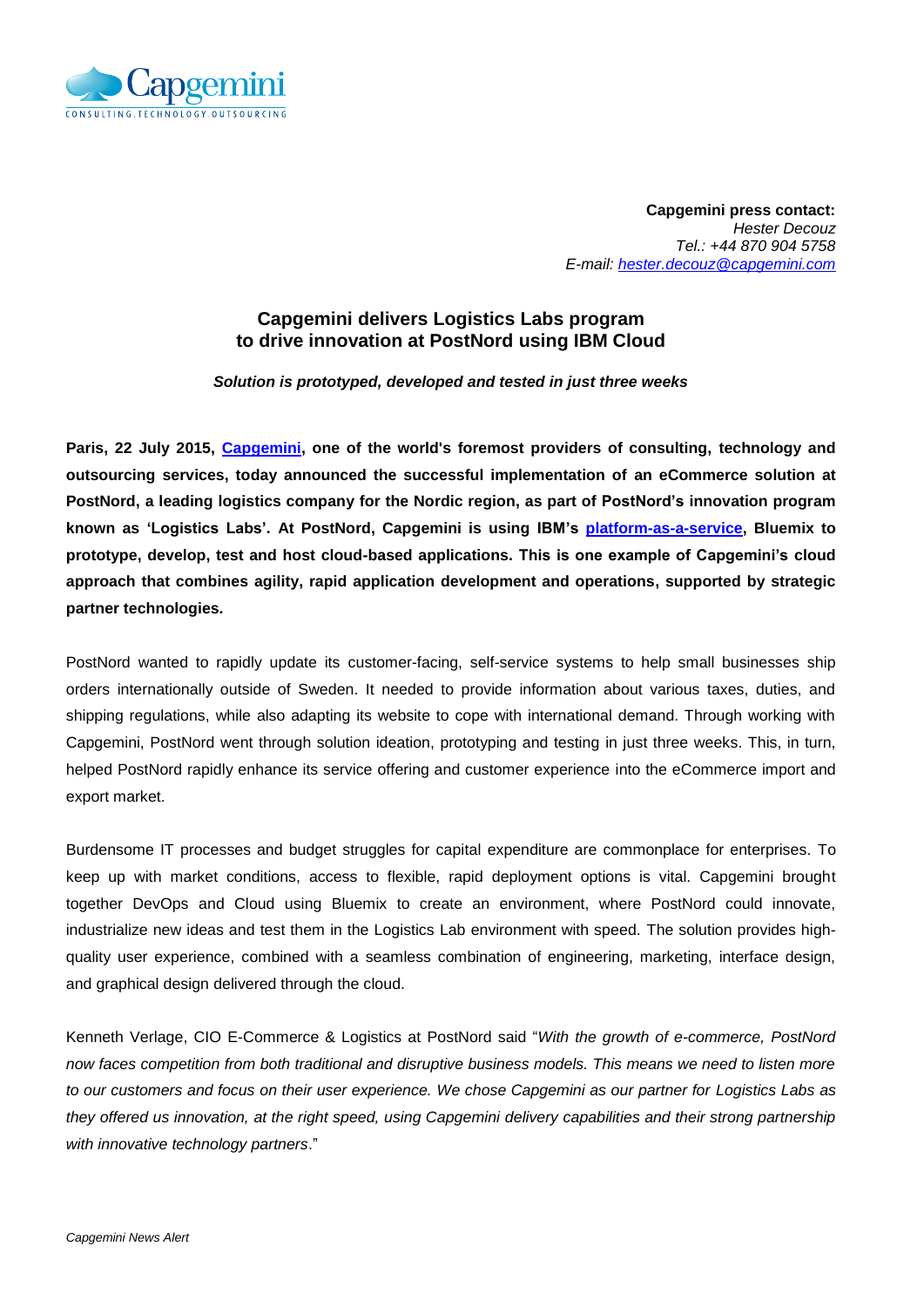

**Capgemini press contact:**  *Hester Decouz Tel.: +44 870 904 5758 E-mail: [hester.decouz@capgemini.com](mailto:hester.decouz@capgemini.com)*

## **Capgemini delivers Logistics Labs program to drive innovation at PostNord using IBM Cloud**

## *Solution is prototyped, developed and tested in just three weeks*

**Paris, 22 July 2015, [Capgemini,](http://www.capgemini.com/) one of the world's foremost providers of consulting, technology and outsourcing services, today announced the successful implementation of an eCommerce solution at PostNord, a leading logistics company for the Nordic region, as part of PostNord's innovation program known as 'Logistics Labs'. At PostNord, Capgemini is using IBM's [platform-as-a-service,](http://www.ibm.com/cloud-computing/us/en/paas.html) Bluemix to prototype, develop, test and host cloud-based applications. This is one example of Capgemini's cloud approach that combines agility, rapid application development and operations, supported by strategic partner technologies.**

PostNord wanted to rapidly update its customer-facing, self-service systems to help small businesses ship orders internationally outside of Sweden. It needed to provide information about various taxes, duties, and shipping regulations, while also adapting its website to cope with international demand. Through working with Capgemini, PostNord went through solution ideation, prototyping and testing in just three weeks. This, in turn, helped PostNord rapidly enhance its service offering and customer experience into the eCommerce import and export market.

Burdensome IT processes and budget struggles for capital expenditure are commonplace for enterprises. To keep up with market conditions, access to flexible, rapid deployment options is vital. Capgemini brought together DevOps and Cloud using Bluemix to create an environment, where PostNord could innovate, industrialize new ideas and test them in the Logistics Lab environment with speed. The solution provides highquality user experience, combined with a seamless combination of engineering, marketing, interface design, and graphical design delivered through the cloud.

Kenneth Verlage, CIO E-Commerce & Logistics at PostNord said "*With the growth of e-commerce, PostNord now faces competition from both traditional and disruptive business models. This means we need to listen more to our customers and focus on their user experience. We chose Capgemini as our partner for Logistics Labs as they offered us innovation, at the right speed, using Capgemini delivery capabilities and their strong partnership with innovative technology partners*."